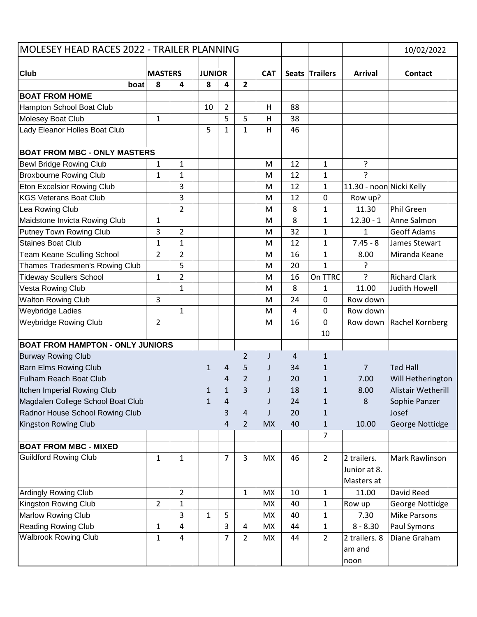| MOLESEY HEAD RACES 2022 - TRAILER PLANNING |                |                |               |                |                |            |                |                |                          | 10/02/2022             |
|--------------------------------------------|----------------|----------------|---------------|----------------|----------------|------------|----------------|----------------|--------------------------|------------------------|
|                                            |                |                |               |                |                |            |                |                |                          |                        |
| <b>Club</b>                                | <b>MASTERS</b> | 4              | <b>JUNIOR</b> | 4              | $\overline{2}$ | <b>CAT</b> |                | Seats Trailers | <b>Arrival</b>           | <b>Contact</b>         |
| boat<br><b>BOAT FROM HOME</b>              | 8              |                | 8             |                |                |            |                |                |                          |                        |
| Hampton School Boat Club                   |                |                | 10            | $\overline{2}$ |                | Н          | 88             |                |                          |                        |
| Molesey Boat Club                          | 1              |                |               | 5              | 5              | Н          | 38             |                |                          |                        |
| Lady Eleanor Holles Boat Club              |                |                | 5             | 1              | $\mathbf{1}$   | Н          | 46             |                |                          |                        |
|                                            |                |                |               |                |                |            |                |                |                          |                        |
| <b>BOAT FROM MBC - ONLY MASTERS</b>        |                |                |               |                |                |            |                |                |                          |                        |
| <b>Bewl Bridge Rowing Club</b>             | 1              | 1              |               |                |                | M          | 12             | 1              | ?                        |                        |
| <b>Broxbourne Rowing Club</b>              | 1              | 1              |               |                |                | M          | 12             | 1              | $\overline{?}$           |                        |
| Eton Excelsior Rowing Club                 |                | 3              |               |                |                | M          | 12             | 1              | 11.30 - noon Nicki Kelly |                        |
| <b>KGS Veterans Boat Club</b>              |                | 3              |               |                |                | M          | 12             | 0              | Row up?                  |                        |
| Lea Rowing Club                            |                | $\overline{2}$ |               |                |                | M          | 8              | 1              | 11.30                    | Phil Green             |
| Maidstone Invicta Rowing Club              | 1              |                |               |                |                | M          | 8              | $\mathbf{1}$   | $12.30 - 1$              | Anne Salmon            |
| Putney Town Rowing Club                    | 3              | $\overline{2}$ |               |                |                | M          | 32             | 1              | $\mathbf{1}$             | <b>Geoff Adams</b>     |
| <b>Staines Boat Club</b>                   | $\mathbf{1}$   | 1              |               |                |                | M          | 12             | 1              | $7.45 - 8$               | James Stewart          |
| <b>Team Keane Sculling School</b>          | $\overline{2}$ | $\overline{2}$ |               |                |                | M          | 16             | 1              | 8.00                     | Miranda Keane          |
| Thames Tradesmen's Rowing Club             |                | 5              |               |                |                | M          | 20             | $\mathbf{1}$   | ?                        |                        |
| <b>Tideway Scullers School</b>             | 1              | $\overline{2}$ |               |                |                | M          | 16             | On TTRC        | ?                        | <b>Richard Clark</b>   |
| Vesta Rowing Club                          |                | 1              |               |                |                | M          | 8              | 1              | 11.00                    | Judith Howell          |
| <b>Walton Rowing Club</b>                  | 3              |                |               |                |                | M          | 24             | 0              | Row down                 |                        |
| <b>Weybridge Ladies</b>                    |                | 1              |               |                |                | M          | $\overline{4}$ | 0              | Row down                 |                        |
| Weybridge Rowing Club                      | $\overline{2}$ |                |               |                |                | M          | 16             | 0              | Row down                 | <b>Rachel Kornberg</b> |
|                                            |                |                |               |                |                |            |                | 10             |                          |                        |
| <b>BOAT FROM HAMPTON - ONLY JUNIORS</b>    |                |                |               |                |                |            |                |                |                          |                        |
| <b>Burway Rowing Club</b>                  |                |                |               |                | $\overline{2}$ | J.         | 4              | 1              |                          |                        |
| <b>Barn Elms Rowing Club</b>               |                |                | $\mathbf{1}$  | 4              | 5              | J          | 34             | $\mathbf{1}$   | $\overline{7}$           | <b>Ted Hall</b>        |
| <b>Fulham Reach Boat Club</b>              |                |                |               | 4              | $\overline{2}$ |            | 20             | 1              | 7.00                     | Will Hetherington      |
| Itchen Imperial Rowing Club                |                |                | 1             | 1              | 3              | I.         | 18             | 1              | 8.00                     | Alistair Wetherill     |
| Magdalen College School Boat Club          |                |                | $\mathbf{1}$  | 4              |                |            | 24             | $\mathbf{1}$   | 8                        | Sophie Panzer          |
| Radnor House School Rowing Club            |                |                |               | 3              | $\overline{4}$ | J          | 20             | $\mathbf{1}$   |                          | Josef                  |
| Kingston Rowing Club                       |                |                |               | 4              | $\overline{2}$ | <b>MX</b>  | 40             | $\mathbf{1}$   | 10.00                    | George Nottidge        |
|                                            |                |                |               |                |                |            |                | 7              |                          |                        |
| <b>BOAT FROM MBC - MIXED</b>               |                |                |               |                |                |            |                |                |                          |                        |
| <b>Guildford Rowing Club</b>               | 1              | 1              |               | 7              | 3              | <b>MX</b>  | 46             | $\overline{2}$ | 2 trailers.              | Mark Rawlinson         |
|                                            |                |                |               |                |                |            |                |                | Junior at 8.             |                        |
|                                            |                |                |               |                |                |            |                |                | Masters at               |                        |
| <b>Ardingly Rowing Club</b>                |                | $\overline{2}$ |               |                | $\mathbf 1$    | <b>MX</b>  | 10             | 1              | 11.00                    | David Reed             |
| Kingston Rowing Club                       | $\overline{2}$ | $\mathbf{1}$   |               |                |                | <b>MX</b>  | 40             | 1              | Row up                   | George Nottidge        |
| Marlow Rowing Club                         |                | 3              | $\mathbf{1}$  | 5              |                | MX         | 40             | 1              | 7.30                     | <b>Mike Parsons</b>    |
| <b>Reading Rowing Club</b>                 | $\mathbf{1}$   | 4              |               | 3              | 4              | <b>MX</b>  | 44             | 1              | $8 - 8.30$               | Paul Symons            |
| <b>Walbrook Rowing Club</b>                | $\mathbf{1}$   | 4              |               | 7              | $\overline{2}$ | <b>MX</b>  | 44             | 2              | 2 trailers. 8            | Diane Graham           |
|                                            |                |                |               |                |                |            |                |                | am and                   |                        |
|                                            |                |                |               |                |                |            |                |                | noon                     |                        |